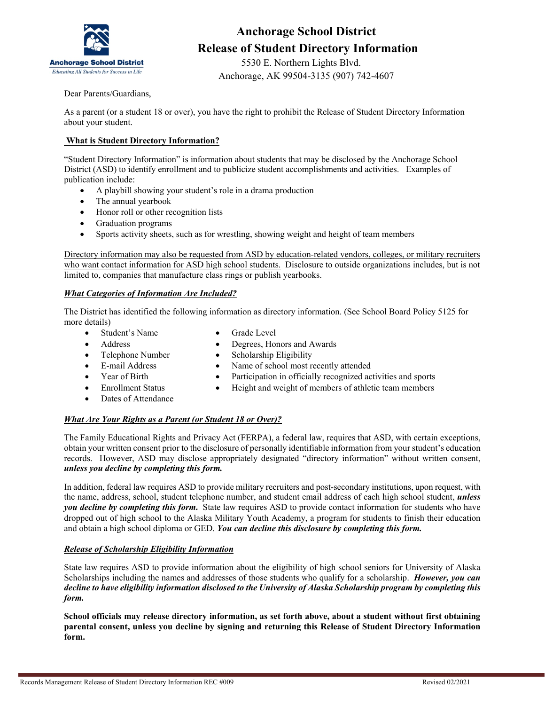

### **Anchorage School District Release of Student Directory Information**

 5530 E. Northern Lights Blvd. Anchorage, AK 99504-3135 (907) 742-4607

Dear Parents/Guardians,

As a parent (or a student 18 or over), you have the right to prohibit the Release of Student Directory Information about your student.

#### **What is Student Directory Information?**

"Student Directory Information" is information about students that may be disclosed by the Anchorage School District (ASD) to identify enrollment and to publicize student accomplishments and activities. Examples of publication include:

- A playbill showing your student's role in a drama production
- The annual yearbook
- Honor roll or other recognition lists
- Graduation programs
- Sports activity sheets, such as for wrestling, showing weight and height of team members

Directory information may also be requested from ASD by education-related vendors, colleges, or military recruiters who want contact information for ASD high school students. Disclosure to outside organizations includes, but is not limited to, companies that manufacture class rings or publish yearbooks.

#### *What Categories of Information Are Included?*

The District has identified the following information as directory information. (See School Board Policy 5125 for more details)

- Student's Name Grade Level
- 
- 
- Address Degrees, Honors and Awards
- Telephone Number Scholarship Eligibility
- 
- E-mail Address Name of school most recently attended
- 
- 
- Year of Birth Participation in officially recognized activities and sports
	- Enrollment Status Height and weight of members of athletic team members
- Dates of Attendance
- 

#### *What Are Your Rights as a Parent (or Student 18 or Over)?*

The Family Educational Rights and Privacy Act (FERPA), a federal law, requires that ASD, with certain exceptions, obtain your written consent prior to the disclosure of personally identifiable information from your student's education records. However, ASD may disclose appropriately designated "directory information" without written consent, *unless you decline by completing this form.*

In addition, federal law requires ASD to provide military recruiters and post-secondary institutions, upon request, with the name, address, school, student telephone number, and student email address of each high school student, *unless you decline by completing this form.* State law requires ASD to provide contact information for students who have dropped out of high school to the Alaska Military Youth Academy, a program for students to finish their education and obtain a high school diploma or GED. *You can decline this disclosure by completing this form.*

#### *Release of Scholarship Eligibility Information*

State law requires ASD to provide information about the eligibility of high school seniors for University of Alaska Scholarships including the names and addresses of those students who qualify for a scholarship. *However, you can decline to have eligibility information disclosed to the University of Alaska Scholarship program by completing this form.* 

**School officials may release directory information, as set forth above, about a student without first obtaining parental consent, unless you decline by signing and returning this Release of Student Directory Information form.**